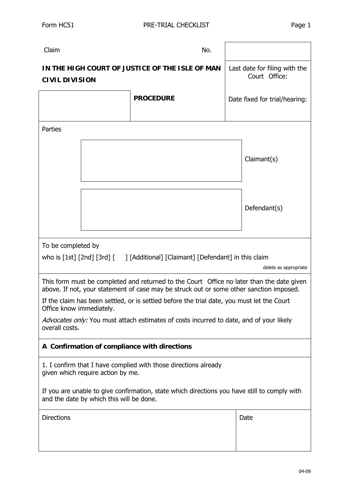| Claim                                                                                                                                        | No.              |                                                |  |  |  |  |
|----------------------------------------------------------------------------------------------------------------------------------------------|------------------|------------------------------------------------|--|--|--|--|
| IN THE HIGH COURT OF JUSTICE OF THE ISLE OF MAN<br><b>CIVIL DIVISION</b>                                                                     |                  | Last date for filing with the<br>Court Office: |  |  |  |  |
|                                                                                                                                              | <b>PROCEDURE</b> | Date fixed for trial/hearing:                  |  |  |  |  |
| Parties                                                                                                                                      |                  |                                                |  |  |  |  |
|                                                                                                                                              |                  | Claimant(s)                                    |  |  |  |  |
|                                                                                                                                              |                  | Defendant(s)                                   |  |  |  |  |
| To be completed by                                                                                                                           |                  |                                                |  |  |  |  |
| who is [1st] [2nd] [3rd] [ ] [Additional] [Claimant] [Defendant] in this claim                                                               |                  |                                                |  |  |  |  |
| This form must be completed and returned to the Court Office no later than the date given                                                    |                  |                                                |  |  |  |  |
| If the claim has been settled, or is settled before the trial date, you must let the Court                                                   |                  |                                                |  |  |  |  |
| Advocates only: You must attach estimates of costs incurred to date, and of your likely<br>overall costs.                                    |                  |                                                |  |  |  |  |
| A Confirmation of compliance with directions                                                                                                 |                  |                                                |  |  |  |  |
| 1. I confirm that I have complied with those directions already<br>given which require action by me.                                         |                  |                                                |  |  |  |  |
| If you are unable to give confirmation, state which directions you have still to comply with<br>and the date by which this will be done.     |                  |                                                |  |  |  |  |
| <b>Directions</b>                                                                                                                            |                  | Date                                           |  |  |  |  |
| delete as appropriate<br>above. If not, your statement of case may be struck out or some other sanction imposed.<br>Office know immediately. |                  |                                                |  |  |  |  |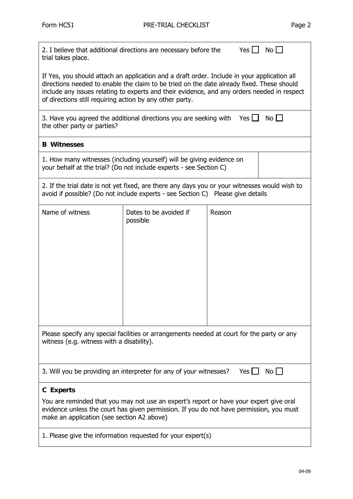<u> 1989 - Johann Stoff, deutscher Stoffen und der Stoffen und der Stoffen und der Stoffen und der Stoffen und de</u>

| Yes $\Box$<br>2. I believe that additional directions are necessary before the<br>$No$ $\Box$<br>trial takes place.                                                                                                                                                                                                                                 |                                    |        |  |  |  |  |
|-----------------------------------------------------------------------------------------------------------------------------------------------------------------------------------------------------------------------------------------------------------------------------------------------------------------------------------------------------|------------------------------------|--------|--|--|--|--|
| If Yes, you should attach an application and a draft order. Include in your application all<br>directions needed to enable the claim to be tried on the date already fixed. These should<br>include any issues relating to experts and their evidence, and any orders needed in respect<br>of directions still requiring action by any other party. |                                    |        |  |  |  |  |
| 3. Have you agreed the additional directions you are seeking with Yes $\Box$<br>$N$ o $\Box$<br>the other party or parties?                                                                                                                                                                                                                         |                                    |        |  |  |  |  |
| <b>B</b> Witnesses                                                                                                                                                                                                                                                                                                                                  |                                    |        |  |  |  |  |
| 1. How many witnesses (including yourself) will be giving evidence on<br>your behalf at the trial? (Do not include experts - see Section C)                                                                                                                                                                                                         |                                    |        |  |  |  |  |
| 2. If the trial date is not yet fixed, are there any days you or your witnesses would wish to<br>avoid if possible? (Do not include experts - see Section C) Please give details                                                                                                                                                                    |                                    |        |  |  |  |  |
| Name of witness                                                                                                                                                                                                                                                                                                                                     | Dates to be avoided if<br>possible | Reason |  |  |  |  |
| Please specify any special facilities or arrangements needed at court for the party or any<br>witness (e.g. witness with a disability).                                                                                                                                                                                                             |                                    |        |  |  |  |  |
| 3. Will you be providing an interpreter for any of your witnesses?<br>Yes I I<br>$No$ $\vert \ \vert$                                                                                                                                                                                                                                               |                                    |        |  |  |  |  |
| <b>C</b> Experts                                                                                                                                                                                                                                                                                                                                    |                                    |        |  |  |  |  |
| You are reminded that you may not use an expert's report or have your expert give oral<br>evidence unless the court has given permission. If you do not have permission, you must<br>make an application (see section A2 above)                                                                                                                     |                                    |        |  |  |  |  |
| 1. Please give the information requested for your expert(s)                                                                                                                                                                                                                                                                                         |                                    |        |  |  |  |  |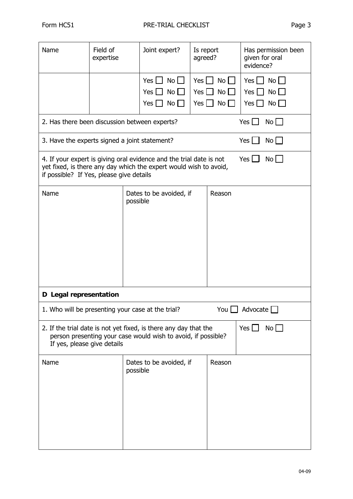| Name                                                                                                                                                                                                              | Field of<br>expertise                                                           |          | Joint expert?                                                                      | Is report<br>agreed?                           |                               | evidence?                                                | Has permission been<br>given for oral     |
|-------------------------------------------------------------------------------------------------------------------------------------------------------------------------------------------------------------------|---------------------------------------------------------------------------------|----------|------------------------------------------------------------------------------------|------------------------------------------------|-------------------------------|----------------------------------------------------------|-------------------------------------------|
|                                                                                                                                                                                                                   |                                                                                 |          | Yes $\vert \vert$<br>$No$    <br>$No$ $\Box$<br>$Yes$ $\Box$<br>No<br>$Yes$ $\Box$ | $Yes$    <br>Yes $\Box$<br>Yes $\vert \ \vert$ | $No$    <br>$No$ $\Box$<br>No | Yes $  \cdot  $<br>Yes I<br>$\blacksquare$<br>Yes $\Box$ | $No$ $\Box$<br>$No$ $\Box$<br>$No$ $\Box$ |
|                                                                                                                                                                                                                   | Yes $\Box$<br>$No$ $\Box$<br>2. Has there been discussion between experts?      |          |                                                                                    |                                                |                               |                                                          |                                           |
|                                                                                                                                                                                                                   | Yes $  \cdot  $<br>$No$ $\Box$<br>3. Have the experts signed a joint statement? |          |                                                                                    |                                                |                               |                                                          |                                           |
| Yes $\Box$<br>4. If your expert is giving oral evidence and the trial date is not<br>$No$ $\Box$<br>yet fixed, is there any day which the expert would wish to avoid,<br>if possible? If Yes, please give details |                                                                                 |          |                                                                                    |                                                |                               |                                                          |                                           |
| Name                                                                                                                                                                                                              |                                                                                 | possible | Dates to be avoided, if                                                            |                                                | Reason                        |                                                          |                                           |
| D Legal representation                                                                                                                                                                                            |                                                                                 |          |                                                                                    |                                                |                               |                                                          |                                           |
| You $\square$<br>Advocate $\square$<br>1. Who will be presenting your case at the trial?                                                                                                                          |                                                                                 |          |                                                                                    |                                                |                               |                                                          |                                           |
| Yes $\Box$<br>$No$ $\Box$<br>2. If the trial date is not yet fixed, is there any day that the<br>person presenting your case would wish to avoid, if possible?<br>If yes, please give details                     |                                                                                 |          |                                                                                    |                                                |                               |                                                          |                                           |
| Name                                                                                                                                                                                                              |                                                                                 | possible | Dates to be avoided, if                                                            |                                                | Reason                        |                                                          |                                           |